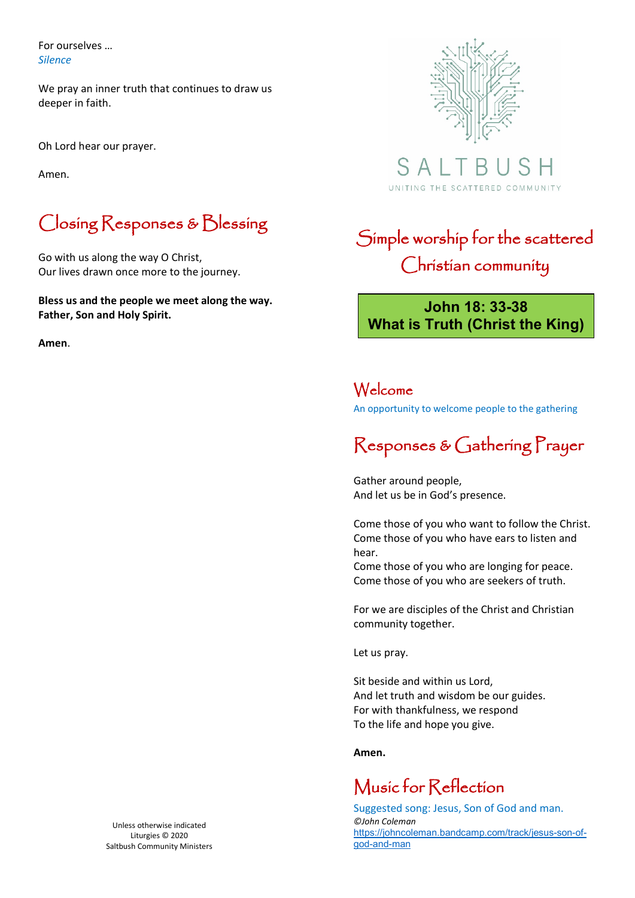For ourselves … *Silence*

We pray an inner truth that continues to draw us deeper in faith.

Oh Lord hear our prayer.

Amen.

## Closing Responses & Blessing

Go with us along the way O Christ, Our lives drawn once more to the journey.

**Bless us and the people we meet along the way. Father, Son and Holy Spirit.** 

**Amen**.



 $S$  A UNITING THE SCATTERED COMMUNITY

## Simple worship for the scattered Christian community

#### **John 18: 33-38 What is Truth (Christ the King)**

#### Welcome

An opportunity to welcome people to the gathering

## Responses & Gathering Prayer

Gather around people, And let us be in God's presence.

Come those of you who want to follow the Christ. Come those of you who have ears to listen and hear.

Come those of you who are longing for peace. Come those of you who are seekers of truth.

For we are disciples of the Christ and Christian community together.

Let us pray.

Sit beside and within us Lord, And let truth and wisdom be our guides. For with thankfulness, we respond To the life and hope you give.

#### **Amen.**

#### Music for Reflection

Suggested song: Jesus, Son of God and man. *©John Coleman* https://johncoleman.bandcamp.com/track/jesus-son-ofgod-and-man

Unless otherwise indicated Liturgies © 2020 Saltbush Community Ministers